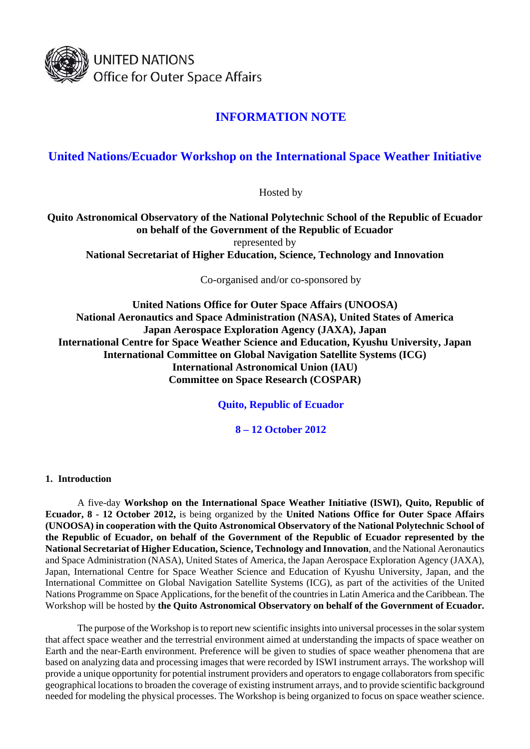

# **INFORMATION NOTE**

# **United Nations/Ecuador Workshop on the International Space Weather Initiative**

Hosted by

**Quito Astronomical Observatory of the National Polytechnic School of the Republic of Ecuador on behalf of the Government of the Republic of Ecuador**  represented by **National Secretariat of Higher Education, Science, Technology and Innovation** 

Co-organised and/or co-sponsored by

**United Nations Office for Outer Space Affairs (UNOOSA) National Aeronautics and Space Administration (NASA), United States of America Japan Aerospace Exploration Agency (JAXA), Japan International Centre for Space Weather Science and Education, Kyushu University, Japan International Committee on Global Navigation Satellite Systems (ICG) International Astronomical Union (IAU) Committee on Space Research (COSPAR)** 

**Quito, Republic of Ecuador** 

**8 – 12 October 2012** 

# **1. Introduction**

A five-day **Workshop on the International Space Weather Initiative (ISWI), Quito, Republic of Ecuador, 8 - 12 October 2012,** is being organized by the **United Nations Office for Outer Space Affairs (UNOOSA) in cooperation with the Quito Astronomical Observatory of the National Polytechnic School of the Republic of Ecuador, on behalf of the Government of the Republic of Ecuador represented by the National Secretariat of Higher Education, Science, Technology and Innovation**, and the National Aeronautics and Space Administration (NASA), United States of America, the Japan Aerospace Exploration Agency (JAXA), Japan, International Centre for Space Weather Science and Education of Kyushu University, Japan, and the International Committee on Global Navigation Satellite Systems (ICG), as part of the activities of the United Nations Programme on Space Applications, for the benefit of the countries in Latin America and the Caribbean. The Workshop will be hosted by **the Quito Astronomical Observatory on behalf of the Government of Ecuador.**

The purpose of the Workshop is to report new scientific insights into universal processes in the solar system that affect space weather and the terrestrial environment aimed at understanding the impacts of space weather on Earth and the near-Earth environment. Preference will be given to studies of space weather phenomena that are based on analyzing data and processing images that were recorded by ISWI instrument arrays. The workshop will provide a unique opportunity for potential instrument providers and operators to engage collaborators from specific geographical locations to broaden the coverage of existing instrument arrays, and to provide scientific background needed for modeling the physical processes. The Workshop is being organized to focus on space weather science.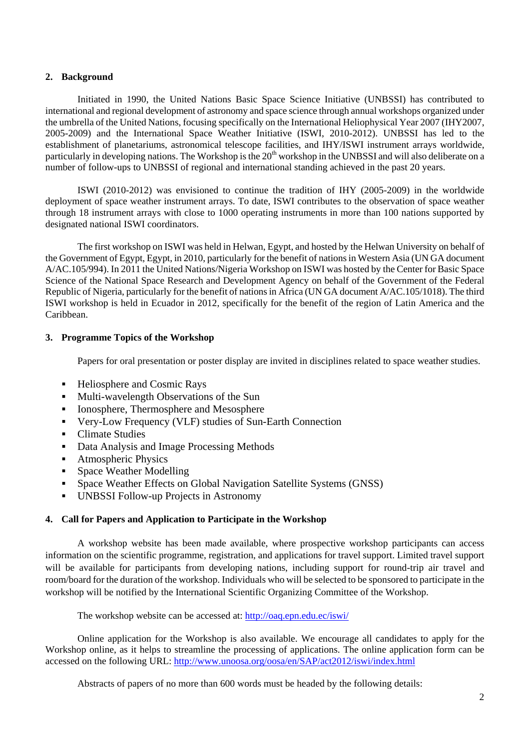### **2. Background**

Initiated in 1990, the United Nations Basic Space Science Initiative (UNBSSI) has contributed to international and regional development of astronomy and space science through annual workshops organized under the umbrella of the United Nations, focusing specifically on the International Heliophysical Year 2007 (IHY2007, 2005-2009) and the International Space Weather Initiative (ISWI, 2010-2012). UNBSSI has led to the establishment of planetariums, astronomical telescope facilities, and IHY/ISWI instrument arrays worldwide, particularly in developing nations. The Workshop is the 20<sup>th</sup> workshop in the UNBSSI and will also deliberate on a number of follow-ups to UNBSSI of regional and international standing achieved in the past 20 years.

ISWI (2010-2012) was envisioned to continue the tradition of IHY (2005-2009) in the worldwide deployment of space weather instrument arrays. To date, ISWI contributes to the observation of space weather through 18 instrument arrays with close to 1000 operating instruments in more than 100 nations supported by designated national ISWI coordinators.

The first workshop on ISWI was held in Helwan, Egypt, and hosted by the Helwan University on behalf of the Government of Egypt, Egypt, in 2010, particularly for the benefit of nations in Western Asia (UN GA document A/AC.105/994). In 2011 the United Nations/Nigeria Workshop on ISWI was hosted by the Center for Basic Space Science of the National Space Research and Development Agency on behalf of the Government of the Federal Republic of Nigeria, particularly for the benefit of nations in Africa (UN GA document A/AC.105/1018). The third ISWI workshop is held in Ecuador in 2012, specifically for the benefit of the region of Latin America and the Caribbean.

## **3. Programme Topics of the Workshop**

Papers for oral presentation or poster display are invited in disciplines related to space weather studies.

- Heliosphere and Cosmic Rays
- Multi-wavelength Observations of the Sun
- Ionosphere, Thermosphere and Mesosphere
- Very-Low Frequency (VLF) studies of Sun-Earth Connection
- Climate Studies
- Data Analysis and Image Processing Methods
- **Atmospheric Physics**
- Space Weather Modelling
- Space Weather Effects on Global Navigation Satellite Systems (GNSS)
- UNBSSI Follow-up Projects in Astronomy

# **4. Call for Papers and Application to Participate in the Workshop**

A workshop website has been made available, where prospective workshop participants can access information on the scientific programme, registration, and applications for travel support. Limited travel support will be available for participants from developing nations, including support for round-trip air travel and room/board for the duration of the workshop. Individuals who will be selected to be sponsored to participate in the workshop will be notified by the International Scientific Organizing Committee of the Workshop.

The workshop website can be accessed at: http://oaq.epn.edu.ec/iswi/

Online application for the Workshop is also available. We encourage all candidates to apply for the Workshop online, as it helps to streamline the processing of applications. The online application form can be accessed on the following URL: http://www.unoosa.org/oosa/en/SAP/act2012/iswi/index.html

Abstracts of papers of no more than 600 words must be headed by the following details: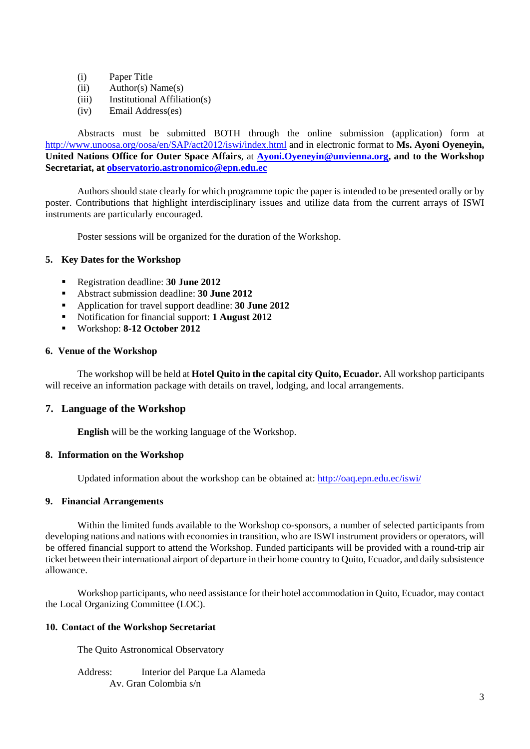- (i) Paper Title
- (ii) Author(s) Name(s)
- (iii) Institutional Affiliation(s)
- (iv) Email Address(es)

Abstracts must be submitted BOTH through the online submission (application) form at http://www.unoosa.org/oosa/en/SAP/act2012/iswi/index.html and in electronic format to **Ms. Ayoni Oyeneyin, United Nations Office for Outer Space Affairs**, at **Ayoni.Oyeneyin@unvienna.org, and to the Workshop Secretariat, at observatorio.astronomico@epn.edu.ec**

Authors should state clearly for which programme topic the paper is intended to be presented orally or by poster. Contributions that highlight interdisciplinary issues and utilize data from the current arrays of ISWI instruments are particularly encouraged.

Poster sessions will be organized for the duration of the Workshop.

## **5. Key Dates for the Workshop**

- Registration deadline: **30 June 2012**
- Abstract submission deadline: **30 June 2012**
- Application for travel support deadline: **30 June 2012**
- Notification for financial support: **1 August 2012**
- Workshop: **8-12 October 2012**

## **6. Venue of the Workshop**

The workshop will be held at **Hotel Quito in the capital city Quito, Ecuador.** All workshop participants will receive an information package with details on travel, lodging, and local arrangements.

# **7. Language of the Workshop**

**English** will be the working language of the Workshop.

## **8. Information on the Workshop**

Updated information about the workshop can be obtained at: http://oaq.epn.edu.ec/iswi/

#### **9. Financial Arrangements**

Within the limited funds available to the Workshop co-sponsors, a number of selected participants from developing nations and nations with economies in transition, who are ISWI instrument providers or operators, will be offered financial support to attend the Workshop. Funded participants will be provided with a round-trip air ticket between their international airport of departure in their home country to Quito, Ecuador, and daily subsistence allowance.

Workshop participants, who need assistance for their hotel accommodation in Quito, Ecuador, may contact the Local Organizing Committee (LOC).

### **10. Contact of the Workshop Secretariat**

The Quito Astronomical Observatory

Address: Interior del Parque La Alameda Av. Gran Colombia s/n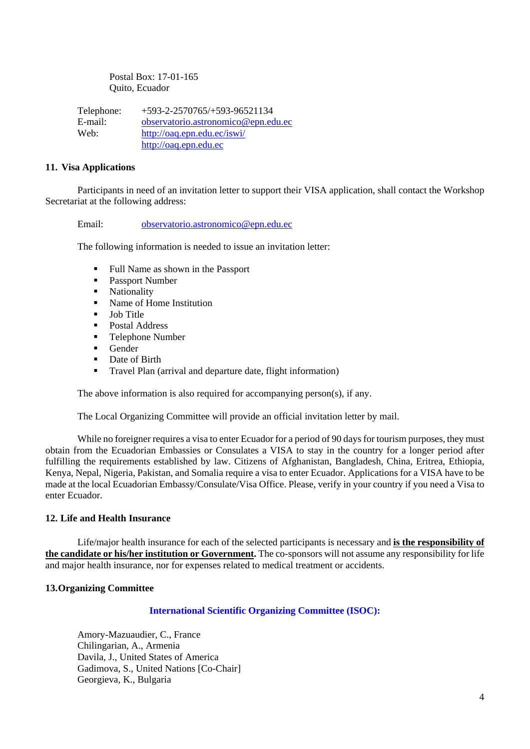Postal Box: 17-01-165 Quito, Ecuador

Telephone: +593-2-2570765/+593-96521134 E-mail: observatorio.astronomico@epn.edu.ec Web: http://oaq.epn.edu.ec/iswi/ http://oaq.epn.edu.ec

#### **11. Visa Applications**

Participants in need of an invitation letter to support their VISA application, shall contact the Workshop Secretariat at the following address:

Email: observatorio.astronomico@epn.edu.ec

The following information is needed to issue an invitation letter:

- Full Name as shown in the Passport
- Passport Number
- Nationality
- Name of Home Institution
- $\blacksquare$  Job Title
- **Postal Address**
- **Telephone Number**
- $\blacksquare$  Gender
- Date of Birth
- **Travel Plan (arrival and departure date, flight information)**

The above information is also required for accompanying person(s), if any.

The Local Organizing Committee will provide an official invitation letter by mail.

While no foreigner requires a visa to enter Ecuador for a period of 90 days for tourism purposes, they must obtain from the Ecuadorian Embassies or Consulates a VISA to stay in the country for a longer period after fulfilling the requirements established by law. Citizens of Afghanistan, Bangladesh, China, Eritrea, Ethiopia, Kenya, Nepal, Nigeria, Pakistan, and Somalia require a visa to enter Ecuador. Applications for a VISA have to be made at the local Ecuadorian Embassy/Consulate/Visa Office. Please, verify in your country if you need a Visa to enter Ecuador.

#### **12. Life and Health Insurance**

Life/major health insurance for each of the selected participants is necessary and **is the responsibility of the candidate or his/her institution or Government.** The co-sponsors will not assume any responsibility for life and major health insurance, nor for expenses related to medical treatment or accidents.

#### **13.Organizing Committee**

### **International Scientific Organizing Committee (ISOC):**

Amory-Mazuaudier, C., France Chilingarian, A., Armenia Davila, J., United States of America Gadimova, S., United Nations [Co-Chair] Georgieva, K., Bulgaria